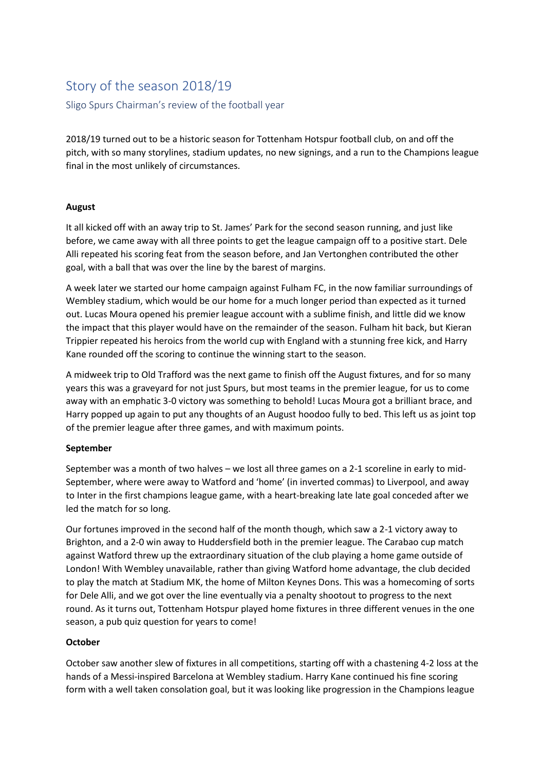# Story of the season 2018/19 Sligo Spurs Chairman's review of the football year

2018/19 turned out to be a historic season for Tottenham Hotspur football club, on and off the pitch, with so many storylines, stadium updates, no new signings, and a run to the Champions league final in the most unlikely of circumstances.

# **August**

It all kicked off with an away trip to St. James' Park for the second season running, and just like before, we came away with all three points to get the league campaign off to a positive start. Dele Alli repeated his scoring feat from the season before, and Jan Vertonghen contributed the other goal, with a ball that was over the line by the barest of margins.

A week later we started our home campaign against Fulham FC, in the now familiar surroundings of Wembley stadium, which would be our home for a much longer period than expected as it turned out. Lucas Moura opened his premier league account with a sublime finish, and little did we know the impact that this player would have on the remainder of the season. Fulham hit back, but Kieran Trippier repeated his heroics from the world cup with England with a stunning free kick, and Harry Kane rounded off the scoring to continue the winning start to the season.

A midweek trip to Old Trafford was the next game to finish off the August fixtures, and for so many years this was a graveyard for not just Spurs, but most teams in the premier league, for us to come away with an emphatic 3-0 victory was something to behold! Lucas Moura got a brilliant brace, and Harry popped up again to put any thoughts of an August hoodoo fully to bed. This left us as joint top of the premier league after three games, and with maximum points.

# **September**

September was a month of two halves – we lost all three games on a 2-1 scoreline in early to mid-September, where were away to Watford and 'home' (in inverted commas) to Liverpool, and away to Inter in the first champions league game, with a heart-breaking late late goal conceded after we led the match for so long.

Our fortunes improved in the second half of the month though, which saw a 2-1 victory away to Brighton, and a 2-0 win away to Huddersfield both in the premier league. The Carabao cup match against Watford threw up the extraordinary situation of the club playing a home game outside of London! With Wembley unavailable, rather than giving Watford home advantage, the club decided to play the match at Stadium MK, the home of Milton Keynes Dons. This was a homecoming of sorts for Dele Alli, and we got over the line eventually via a penalty shootout to progress to the next round. As it turns out, Tottenham Hotspur played home fixtures in three different venues in the one season, a pub quiz question for years to come!

# **October**

October saw another slew of fixtures in all competitions, starting off with a chastening 4-2 loss at the hands of a Messi-inspired Barcelona at Wembley stadium. Harry Kane continued his fine scoring form with a well taken consolation goal, but it was looking like progression in the Champions league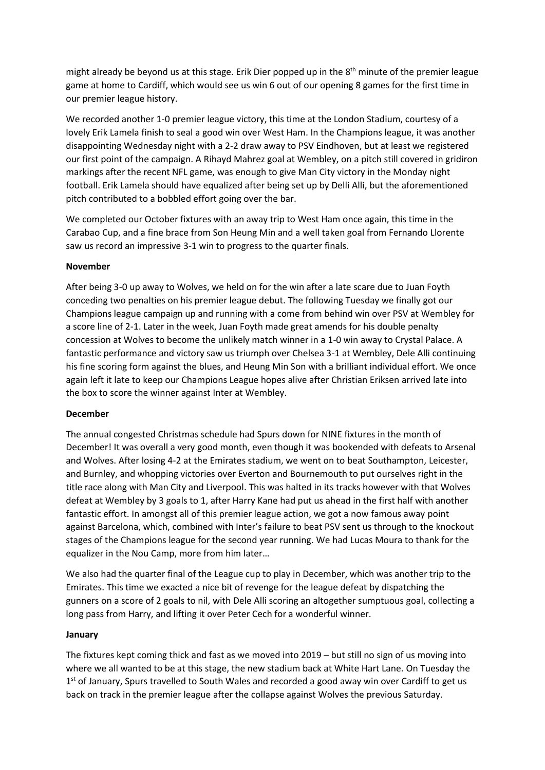might already be beyond us at this stage. Erik Dier popped up in the  $8<sup>th</sup>$  minute of the premier league game at home to Cardiff, which would see us win 6 out of our opening 8 games for the first time in our premier league history.

We recorded another 1-0 premier league victory, this time at the London Stadium, courtesy of a lovely Erik Lamela finish to seal a good win over West Ham. In the Champions league, it was another disappointing Wednesday night with a 2-2 draw away to PSV Eindhoven, but at least we registered our first point of the campaign. A Rihayd Mahrez goal at Wembley, on a pitch still covered in gridiron markings after the recent NFL game, was enough to give Man City victory in the Monday night football. Erik Lamela should have equalized after being set up by Delli Alli, but the aforementioned pitch contributed to a bobbled effort going over the bar.

We completed our October fixtures with an away trip to West Ham once again, this time in the Carabao Cup, and a fine brace from Son Heung Min and a well taken goal from Fernando Llorente saw us record an impressive 3-1 win to progress to the quarter finals.

### **November**

After being 3-0 up away to Wolves, we held on for the win after a late scare due to Juan Foyth conceding two penalties on his premier league debut. The following Tuesday we finally got our Champions league campaign up and running with a come from behind win over PSV at Wembley for a score line of 2-1. Later in the week, Juan Foyth made great amends for his double penalty concession at Wolves to become the unlikely match winner in a 1-0 win away to Crystal Palace. A fantastic performance and victory saw us triumph over Chelsea 3-1 at Wembley, Dele Alli continuing his fine scoring form against the blues, and Heung Min Son with a brilliant individual effort. We once again left it late to keep our Champions League hopes alive after Christian Eriksen arrived late into the box to score the winner against Inter at Wembley.

#### **December**

The annual congested Christmas schedule had Spurs down for NINE fixtures in the month of December! It was overall a very good month, even though it was bookended with defeats to Arsenal and Wolves. After losing 4-2 at the Emirates stadium, we went on to beat Southampton, Leicester, and Burnley, and whopping victories over Everton and Bournemouth to put ourselves right in the title race along with Man City and Liverpool. This was halted in its tracks however with that Wolves defeat at Wembley by 3 goals to 1, after Harry Kane had put us ahead in the first half with another fantastic effort. In amongst all of this premier league action, we got a now famous away point against Barcelona, which, combined with Inter's failure to beat PSV sent us through to the knockout stages of the Champions league for the second year running. We had Lucas Moura to thank for the equalizer in the Nou Camp, more from him later…

We also had the quarter final of the League cup to play in December, which was another trip to the Emirates. This time we exacted a nice bit of revenge for the league defeat by dispatching the gunners on a score of 2 goals to nil, with Dele Alli scoring an altogether sumptuous goal, collecting a long pass from Harry, and lifting it over Peter Cech for a wonderful winner.

#### **January**

The fixtures kept coming thick and fast as we moved into 2019 – but still no sign of us moving into where we all wanted to be at this stage, the new stadium back at White Hart Lane. On Tuesday the 1<sup>st</sup> of January, Spurs travelled to South Wales and recorded a good away win over Cardiff to get us back on track in the premier league after the collapse against Wolves the previous Saturday.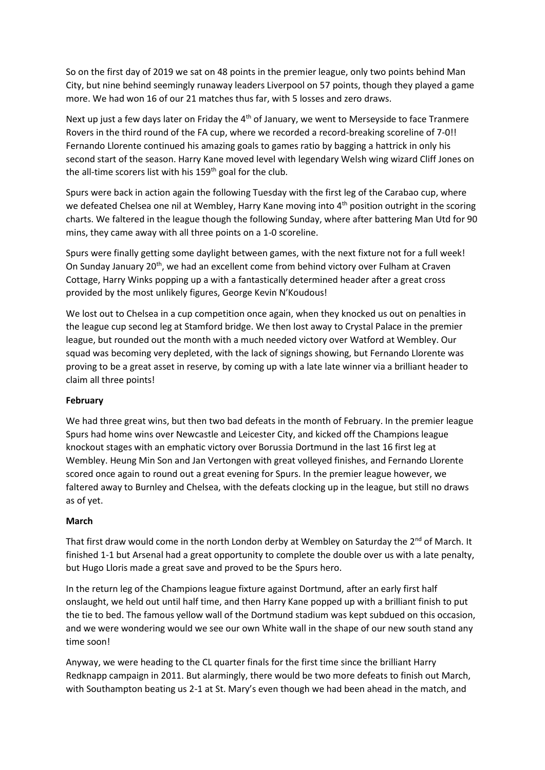So on the first day of 2019 we sat on 48 points in the premier league, only two points behind Man City, but nine behind seemingly runaway leaders Liverpool on 57 points, though they played a game more. We had won 16 of our 21 matches thus far, with 5 losses and zero draws.

Next up just a few days later on Friday the 4<sup>th</sup> of January, we went to Merseyside to face Tranmere Rovers in the third round of the FA cup, where we recorded a record-breaking scoreline of 7-0!! Fernando Llorente continued his amazing goals to games ratio by bagging a hattrick in only his second start of the season. Harry Kane moved level with legendary Welsh wing wizard Cliff Jones on the all-time scorers list with his  $159<sup>th</sup>$  goal for the club.

Spurs were back in action again the following Tuesday with the first leg of the Carabao cup, where we defeated Chelsea one nil at Wembley, Harry Kane moving into 4<sup>th</sup> position outright in the scoring charts. We faltered in the league though the following Sunday, where after battering Man Utd for 90 mins, they came away with all three points on a 1-0 scoreline.

Spurs were finally getting some daylight between games, with the next fixture not for a full week! On Sunday January 20th, we had an excellent come from behind victory over Fulham at Craven Cottage, Harry Winks popping up a with a fantastically determined header after a great cross provided by the most unlikely figures, George Kevin N'Koudous!

We lost out to Chelsea in a cup competition once again, when they knocked us out on penalties in the league cup second leg at Stamford bridge. We then lost away to Crystal Palace in the premier league, but rounded out the month with a much needed victory over Watford at Wembley. Our squad was becoming very depleted, with the lack of signings showing, but Fernando Llorente was proving to be a great asset in reserve, by coming up with a late late winner via a brilliant header to claim all three points!

#### **February**

We had three great wins, but then two bad defeats in the month of February. In the premier league Spurs had home wins over Newcastle and Leicester City, and kicked off the Champions league knockout stages with an emphatic victory over Borussia Dortmund in the last 16 first leg at Wembley. Heung Min Son and Jan Vertongen with great volleyed finishes, and Fernando Llorente scored once again to round out a great evening for Spurs. In the premier league however, we faltered away to Burnley and Chelsea, with the defeats clocking up in the league, but still no draws as of yet.

#### **March**

That first draw would come in the north London derby at Wembley on Saturday the 2<sup>nd</sup> of March. It finished 1-1 but Arsenal had a great opportunity to complete the double over us with a late penalty, but Hugo Lloris made a great save and proved to be the Spurs hero.

In the return leg of the Champions league fixture against Dortmund, after an early first half onslaught, we held out until half time, and then Harry Kane popped up with a brilliant finish to put the tie to bed. The famous yellow wall of the Dortmund stadium was kept subdued on this occasion, and we were wondering would we see our own White wall in the shape of our new south stand any time soon!

Anyway, we were heading to the CL quarter finals for the first time since the brilliant Harry Redknapp campaign in 2011. But alarmingly, there would be two more defeats to finish out March, with Southampton beating us 2-1 at St. Mary's even though we had been ahead in the match, and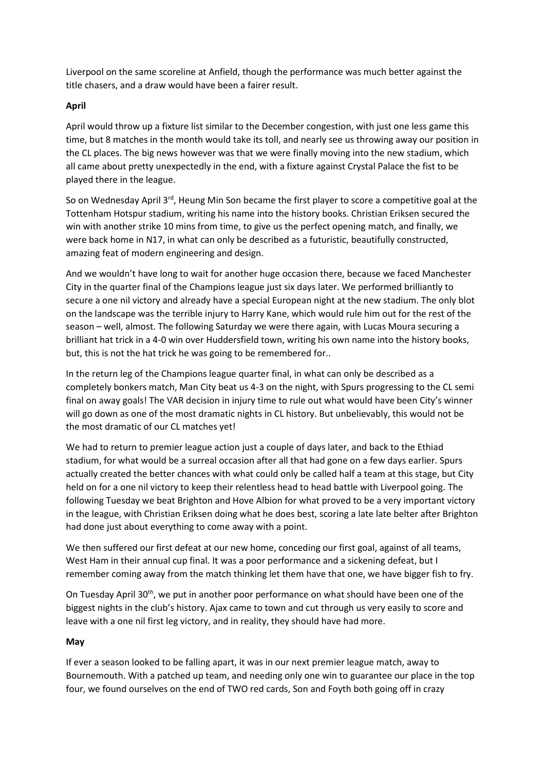Liverpool on the same scoreline at Anfield, though the performance was much better against the title chasers, and a draw would have been a fairer result.

# **April**

April would throw up a fixture list similar to the December congestion, with just one less game this time, but 8 matches in the month would take its toll, and nearly see us throwing away our position in the CL places. The big news however was that we were finally moving into the new stadium, which all came about pretty unexpectedly in the end, with a fixture against Crystal Palace the fist to be played there in the league.

So on Wednesday April  $3^{rd}$ , Heung Min Son became the first player to score a competitive goal at the Tottenham Hotspur stadium, writing his name into the history books. Christian Eriksen secured the win with another strike 10 mins from time, to give us the perfect opening match, and finally, we were back home in N17, in what can only be described as a futuristic, beautifully constructed, amazing feat of modern engineering and design.

And we wouldn't have long to wait for another huge occasion there, because we faced Manchester City in the quarter final of the Champions league just six days later. We performed brilliantly to secure a one nil victory and already have a special European night at the new stadium. The only blot on the landscape was the terrible injury to Harry Kane, which would rule him out for the rest of the season – well, almost. The following Saturday we were there again, with Lucas Moura securing a brilliant hat trick in a 4-0 win over Huddersfield town, writing his own name into the history books, but, this is not the hat trick he was going to be remembered for..

In the return leg of the Champions league quarter final, in what can only be described as a completely bonkers match, Man City beat us 4-3 on the night, with Spurs progressing to the CL semi final on away goals! The VAR decision in injury time to rule out what would have been City's winner will go down as one of the most dramatic nights in CL history. But unbelievably, this would not be the most dramatic of our CL matches yet!

We had to return to premier league action just a couple of days later, and back to the Ethiad stadium, for what would be a surreal occasion after all that had gone on a few days earlier. Spurs actually created the better chances with what could only be called half a team at this stage, but City held on for a one nil victory to keep their relentless head to head battle with Liverpool going. The following Tuesday we beat Brighton and Hove Albion for what proved to be a very important victory in the league, with Christian Eriksen doing what he does best, scoring a late late belter after Brighton had done just about everything to come away with a point.

We then suffered our first defeat at our new home, conceding our first goal, against of all teams, West Ham in their annual cup final. It was a poor performance and a sickening defeat, but I remember coming away from the match thinking let them have that one, we have bigger fish to fry.

On Tuesday April 30<sup>th</sup>, we put in another poor performance on what should have been one of the biggest nights in the club's history. Ajax came to town and cut through us very easily to score and leave with a one nil first leg victory, and in reality, they should have had more.

#### **May**

If ever a season looked to be falling apart, it was in our next premier league match, away to Bournemouth. With a patched up team, and needing only one win to guarantee our place in the top four, we found ourselves on the end of TWO red cards, Son and Foyth both going off in crazy